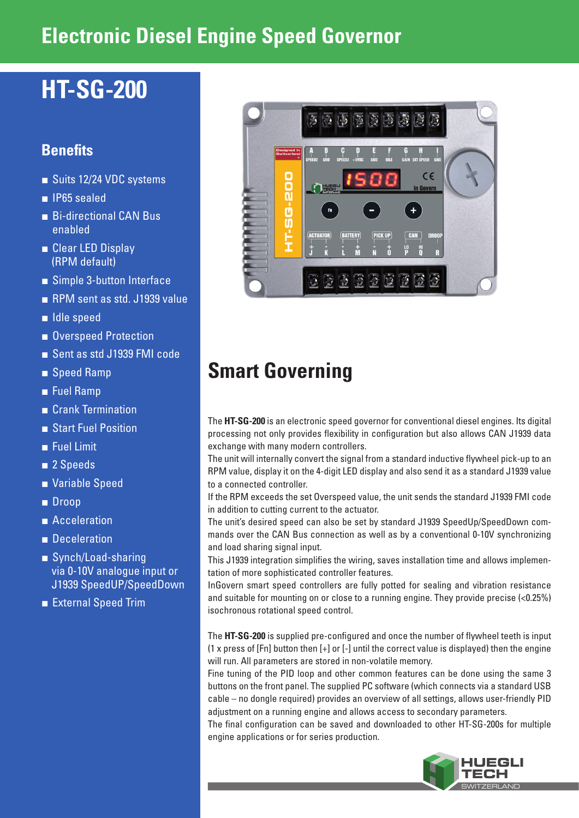# **Electronic Diesel Engine Speed Governor**

# **HT-SG-200**

## **Benefits**

- Suits 12/24 VDC systems
- IP65 sealed
- Bi-directional CAN Bus enabled
- Clear LED Display (RPM default)
- Simple 3-button Interface
- RPM sent as std. J1939 value
- Idle speed
- Overspeed Protection
- Sent as std J1939 FMI code
- Speed Ramp
- Fuel Ramp
- Crank Termination
- Start Fuel Position
- Fuel Limit
- 2 Speeds
- Variable Speed
- Droop
- Acceleration
- Deceleration
- Synch/Load-sharing via 0-10V analogue input or J1939 SpeedUP/SpeedDown
- External Speed Trim



# **Smart Governing**

The **HT-SG-200** is an electronic speed governor for conventional diesel engines. Its digital processing not only provides flexibility in configuration but also allows CAN J1939 data exchange with many modern controllers.

The unit will internally convert the signal from a standard inductive flywheel pick-up to an RPM value, display it on the 4-digit LED display and also send it as a standard J1939 value to a connected controller.

If the RPM exceeds the set Overspeed value, the unit sends the standard J1939 FMI code in addition to cutting current to the actuator.

The unit's desired speed can also be set by standard J1939 SpeedUp/SpeedDown commands over the CAN Bus connection as well as by a conventional 0-10V synchronizing and load sharing signal input.

This J1939 integration simplifies the wiring, saves installation time and allows implementation of more sophisticated controller features.

InGovern smart speed controllers are fully potted for sealing and vibration resistance and suitable for mounting on or close to a running engine. They provide precise (<0.25%) isochronous rotational speed control.

The **HT-SG-200** is supplied pre-configured and once the number of flywheel teeth is input  $(1 \times$  press of [Fn] button then  $[+]$  or  $[-]$  until the correct value is displayed) then the engine will run. All parameters are stored in non-volatile memory.

Fine tuning of the PID loop and other common features can be done using the same 3 buttons on the front panel. The supplied PC software (which connects via a standard USB cable – no dongle required) provides an overview of all settings, allows user-friendly PID adjustment on a running engine and allows access to secondary parameters.

The final configuration can be saved and downloaded to other HT-SG-200s for multiple engine applications or for series production.

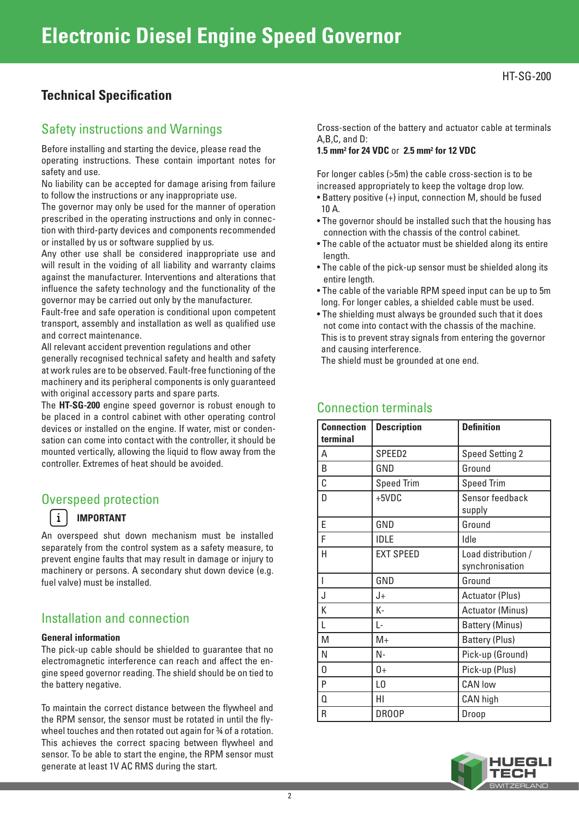## **Technical Specification**

### Safety instructions and Warnings

Before installing and starting the device, please read the operating instructions. These contain important notes for safety and use.

No liability can be accepted for damage arising from failure to follow the instructions or any inappropriate use.

The governor may only be used for the manner of operation prescribed in the operating instructions and only in connection with third-party devices and components recommended or installed by us or software supplied by us.

Any other use shall be considered inappropriate use and will result in the voiding of all liability and warranty claims against the manufacturer. Interventions and alterations that influence the safety technology and the functionality of the governor may be carried out only by the manufacturer.

Fault-free and safe operation is conditional upon competent transport, assembly and installation as well as qualified use and correct maintenance.

All relevant accident prevention regulations and other generally recognised technical safety and health and safety at work rules are to be observed. Fault-free functioning of the machinery and its peripheral components is only guaranteed with original accessory parts and spare parts.

The **HT-SG-200** engine speed governor is robust enough to be placed in a control cabinet with other operating control devices or installed on the engine. If water, mist or condensation can come into contact with the controller, it should be mounted vertically, allowing the liquid to flow away from the controller. Extremes of heat should be avoided.

### Overspeed protection

### **IMPORTANT**

 $\mathbf{i}$ 

An overspeed shut down mechanism must be installed separately from the control system as a safety measure, to prevent engine faults that may result in damage or injury to machinery or persons. A secondary shut down device (e.g. fuel valve) must be installed.

### Installation and connection

#### **General information**

The pick-up cable should be shielded to guarantee that no electromagnetic interference can reach and affect the engine speed governor reading. The shield should be on tied to the battery negative.

To maintain the correct distance between the flywheel and the RPM sensor, the sensor must be rotated in until the flywheel touches and then rotated out again for 34 of a rotation. This achieves the correct spacing between flywheel and sensor. To be able to start the engine, the RPM sensor must generate at least 1V AC RMS during the start.

Cross-section of the battery and actuator cable at terminals A,B,C, and D:

#### **1.5 mm2 for 24 VDC** or **2.5 mm2 for 12 VDC**

For longer cables (>5m) the cable cross-section is to be increased appropriately to keep the voltage drop low.

- Battery positive (+) input, connection M, should be fused 10 A.
- The governor should be installed such that the housing has connection with the chassis of the control cabinet.
- The cable of the actuator must be shielded along its entire length.
- The cable of the pick-up sensor must be shielded along its entire length.
- The cable of the variable RPM speed input can be up to 5m long. For longer cables, a shielded cable must be used.
- The shielding must always be grounded such that it does not come into contact with the chassis of the machine. This is to prevent stray signals from entering the governor and causing interference.

The shield must be grounded at one end.

| <b>Connection</b><br>terminal | <b>Description</b> | <b>Definition</b>                      |
|-------------------------------|--------------------|----------------------------------------|
| А                             | SPEED <sub>2</sub> | <b>Speed Setting 2</b>                 |
| B                             | GND                | Ground                                 |
| C                             | <b>Speed Trim</b>  | <b>Speed Trim</b>                      |
| D                             | $+5VDC$            | Sensor feedback<br>supply              |
| E                             | GND                | Ground                                 |
| F                             | <b>IDLE</b>        | Idle                                   |
| H                             | <b>EXT SPEED</b>   | Load distribution /<br>synchronisation |
| I                             | GND                | Ground                                 |
| J                             | J+                 | <b>Actuator (Plus)</b>                 |
| K                             | K-                 | <b>Actuator (Minus)</b>                |
| L                             | L-                 | <b>Battery (Minus)</b>                 |
| M                             | $M+$               | <b>Battery (Plus)</b>                  |
| Ν                             | N-                 | Pick-up (Ground)                       |
| 0                             | $0+$               | Pick-up (Plus)                         |
| P                             | L <sub>0</sub>     | <b>CAN low</b>                         |
| 0                             | HI                 | CAN high                               |
| R                             | DR00P              | Droop                                  |

### Connection terminals

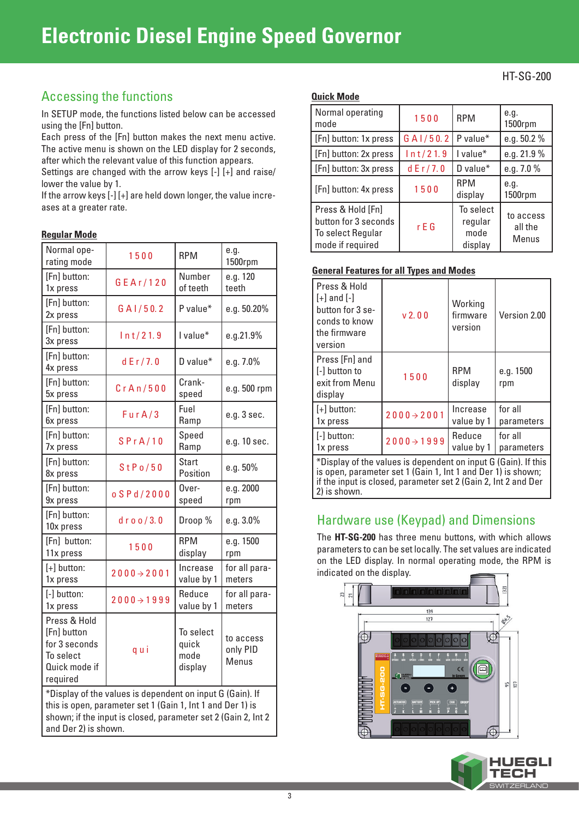## **Electronic Diesel Engine Speed Governor**

## Accessing the functions

In SETUP mode, the functions listed below can be accessed using the [Fn] button.

Each press of the [Fn] button makes the next menu active. The active menu is shown on the LED display for 2 seconds, after which the relevant value of this function appears.

Settings are changed with the arrow keys [-] [+] and raise/ lower the value by 1.

If the arrow keys [-] [+] are held down longer, the value increases at a greater rate.

#### **Regular Mode**

| Normal ope-<br>rating mode                                                                                                                                                                                       | 1500                    | <b>RPM</b>                            | e.g.<br>1500rpm                |
|------------------------------------------------------------------------------------------------------------------------------------------------------------------------------------------------------------------|-------------------------|---------------------------------------|--------------------------------|
| [Fn] button:<br>1x press                                                                                                                                                                                         | GEAr/120                | Number<br>of teeth                    | e.g. 120<br>teeth              |
| [Fn] button:<br>2x press                                                                                                                                                                                         | G A1/50.2               | P value*                              | e.g. 50.20%                    |
| [Fn] button:<br>3x press                                                                                                                                                                                         | ln t/21.9               | I value*                              | e.g.21.9%                      |
| [Fn] button:<br>4x press                                                                                                                                                                                         | dE r / 7.0              | D value $*$                           | e.g. 7.0%                      |
| [Fn] button:<br>5x press                                                                                                                                                                                         | CrA n/500               | Crank-<br>speed                       | e.g. 500 rpm                   |
| [Fn] button:<br>6x press                                                                                                                                                                                         | FurA/3                  | Fuel<br>Ramp                          | e.g. 3 sec.                    |
| [Fn] button:<br>7x press                                                                                                                                                                                         | SPrA/10                 | Speed<br>Ramp                         | e.g. 10 sec.                   |
| [Fn] button:<br>8x press                                                                                                                                                                                         | StPo/50                 | <b>Start</b><br>Position              | e.g. 50%                       |
| [Fn] button:<br>9x press                                                                                                                                                                                         | o S P d / 2000          | Over-<br>speed                        | e.g. 2000<br>rpm               |
| [Fn] button:<br>10x press                                                                                                                                                                                        | $d$ r o o / 3.0         | Droop %                               | $e.g. 3.0\%$                   |
| [Fn] button:<br>11x press                                                                                                                                                                                        | 1500                    | <b>RPM</b><br>display                 | e.g. 1500<br>rpm               |
| $[+]$ button:<br>1x press                                                                                                                                                                                        | $2000 \rightarrow 2001$ | Increase<br>value by 1                | for all para-<br>meters        |
| [-] button:<br>1x press                                                                                                                                                                                          | $2000 \rightarrow 1999$ | Reduce<br>value by 1                  | for all para-<br>meters        |
| Press & Hold<br>[Fn] button<br>for 3 seconds<br>To select<br>Quick mode if<br>required                                                                                                                           | qui                     | To select<br>quick<br>mode<br>display | to access<br>only PID<br>Menus |
| *Display of the values is dependent on input G (Gain). If<br>this is open, parameter set 1 (Gain 1, Int 1 and Der 1) is<br>shown; if the input is closed, parameter set 2 (Gain 2, Int 2<br>and Der 2) is shown. |                         |                                       |                                |

#### **Quick Mode**

| Normal operating<br>mode                                                           | 1500       | <b>RPM</b>                              | e.g.<br>1500rpm               |
|------------------------------------------------------------------------------------|------------|-----------------------------------------|-------------------------------|
| [Fn] button: 1x press                                                              | G A1/50.2  | P value*                                | e.g. $50.2 \%$                |
| [Fn] button: 2x press                                                              | ln t/21.9  | I value*                                | e.g. 21.9 %                   |
| [Fn] button: 3x press                                                              | dE r / 7.0 | D value*                                | e.g. 7.0 %                    |
| [Fn] button: 4x press                                                              | 1500       | <b>RPM</b><br>display                   | e.g.<br>1500rpm               |
| Press & Hold [Fn]<br>button for 3 seconds<br>To select Regular<br>mode if required | r E G      | To select<br>regular<br>mode<br>display | to access<br>all the<br>Menus |

#### **General Features for all Types and Modes**

| Press & Hold<br>$[+]$ and $[-]$<br>button for 3 se-<br>conds to know<br>the firmware<br>version | v <sub>2</sub> 0 <sub>0</sub> | Working<br>firmware<br>version | Version 2.00          |
|-------------------------------------------------------------------------------------------------|-------------------------------|--------------------------------|-----------------------|
| Press [Fn] and<br>[-] button to<br>exit from Menu<br>display                                    | 1500                          | <b>RPM</b><br>display          | e.g. 1500<br>rpm      |
| $[+]$ button:<br>1x press                                                                       | $2000 \rightarrow 2001$       | Increase<br>value by 1         | for all<br>parameters |
| [-] button:<br>1x press                                                                         | $2000 \rightarrow 1999$       | Reduce<br>value by 1           | for all<br>parameters |
| *Display of the values is dependent on input G (Gain). If this                                  |                               |                                |                       |

is open, parameter set 1 (Gain 1, Int 1 and Der 1) is shown; if the input is closed, parameter set 2 (Gain 2, Int 2 and Der 2) is shown.

## Hardware use (Keypad) and Dimensions

The **HT-SG-200** has three menu buttons, with which allows parameters to can be set locally. The set values are indicated on the LED display. In normal operating mode, the RPM is indicated on the display.



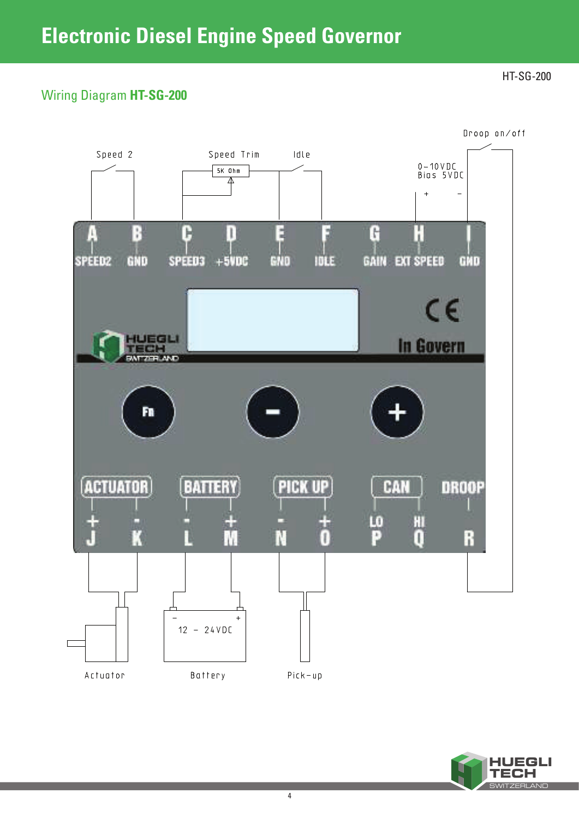## Wiring Diagram **HT-SG-200**

HT-SG-200